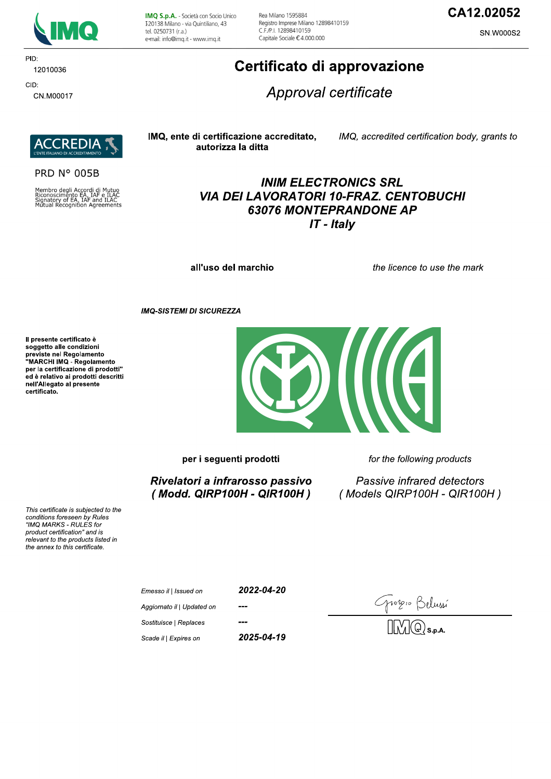

PID: 12010036 CID:

CN.M00017

IMQ S.p.A. - Società con Socio Unico I 20138 Milano - via Quintiliano, 43 tel. 0250731 (r.a.) e-mail: info@imq.it - www.imq.it

Rea Milano 1595884 Registro Imprese Milano 12898410159 C F /P | 12898410159 Capitale Sociale €4.000.000

## CA12.02052

SN.W000S2

# Certificato di approvazione

Approval certificate



**PRD N° 005B** 

Membro degli Accordi di Mutuo<br>Riconoscimento EA, IAF e ILAC<br>Signatory of EA, IAF and ILAC<br>Mutual Recognition Agreements

#### IMQ, ente di certificazione accreditato, autorizza la ditta

IMQ, accredited certification body, grants to

### **INIM ELECTRONICS SRL VIA DEI LAVORATORI 10-FRAZ. CENTOBUCHI 63076 MONTEPRANDONE AP**  $IT$  - Italy

all'uso del marchio

the licence to use the mark

**IMQ-SISTEMI DI SICUREZZA** 

Il presente certificato è soggetto alle condizioni Soggetto and containmento<br>previste nel Regolamento<br>"MARCHI IMQ - Regolamento per la certificazione di prodotti" ed è relativo ai prodotti descritti nell'Allegato al presente certificato.



per i seguenti prodotti

Rivelatori a infrarosso passivo (Modd. QIRP100H - QIR100H) for the following products

Passive infrared detectors (Models QIRP100H - QIR100H)

This certificate is subjected to the conditions foreseen by Rules "IMQ MARKS - RULES for product certification" and is relevant to the products listed in the annex to this certificate.

| Emesso il   Issued on      | 2022-04-20 |
|----------------------------|------------|
| Aggiornato il   Updated on | ---        |
| Sostituisce   Replaces     | ---        |

Scade il | Expires on

2025-04-19

Grozio Belussí<br>MMQs.p.a.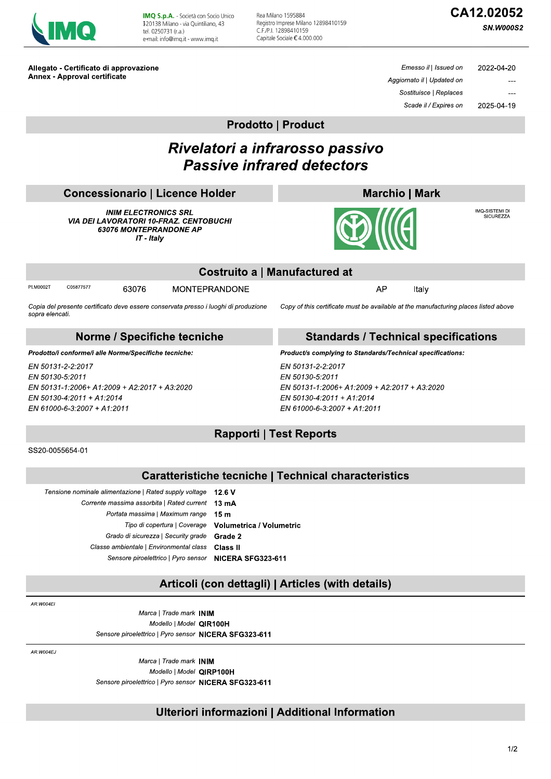| Ō.<br>۰ |
|---------|
|---------|

IMQ S.p.A. - Società con Socio Unico I 20138 Milano - via Quintiliano, 43 tel. 0250731 (r.a.) e-mail: info@img.it - www.img.it

Rea Milano 1595884 Registro Imprese Milano 12898410159 C.F./P.I. 12898410159 Capitale Sociale €4.000.000

# CA12.02052

**SN.W000S2** 

Allegato - Certificato di approvazione **Annex - Approval certificate** 

Emesso il | Issued on 2022-04-20 Aggiornato il | Updated on Sostituisce | Replaces Scade il / Expires on 2025-04-19

**Prodotto | Product** 

# Rivelatori a infrarosso passivo **Passive infrared detectors**

| <b>Concessionario   Licence Holder</b> |  |
|----------------------------------------|--|
|                                        |  |

**INIM ELECTRONICS SRL VIA DEI LAVORATORI 10-FRAZ. CENTOBUCHI** 63076 MONTEPRANDONE AP IT - Italy





IMQ-SISTEMI DI<br>SICUREZZA

|                |           |       |                                                                                     | $\sim$ ma                     |    |                                                                                     |  |  |
|----------------|-----------|-------|-------------------------------------------------------------------------------------|-------------------------------|----|-------------------------------------------------------------------------------------|--|--|
|                |           |       |                                                                                     | Costruito a   Manufactured at |    |                                                                                     |  |  |
| PI.M0002T      | C05877577 | 63076 | <b>MONTEPRANDONE</b>                                                                |                               | AP | Italv                                                                               |  |  |
| copro olongoti |           |       | Copia del presente certificato deve essere conservata presso i luoghi di produzione |                               |    | Copy of this certificate must be available at the manufacturing places listed above |  |  |

Norme / Specifiche tecniche

Prodotto/i conforme/i alle Norme/Specifiche tecniche:

EN 50131-2-2:2017 EN 50130-5:2011 EN 50131-1:2006+ A1:2009 + A2:2017 + A3:2020 EN 50130-4:2011 + A1:2014 EN 61000-6-3:2007 + A1:2011

#### **Standards / Technical specifications**

Product/s complying to Standards/Technical specifications:

EN 50131-2-2:2017 EN 50130-5:2011 EN 50131-1:2006+ A1:2009 + A2:2017 + A3:2020 EN 50130-4:2011 + A1:2014 EN 61000-6-3:2007 + A1:2011

### **Rapporti | Test Reports**

SS20-0055654-01

sopra elencati

### **Caratteristiche tecniche | Technical characteristics**

### Articoli (con dettagli) | Articles (with details)

AR W004FI

Marca | Trade mark INIM Modello | Model QIR100H Sensore piroelettrico | Pyro sensor NICERA SFG323-611

AR.W004EJ

Marca | Trade mark INIM Modello | Model QIRP100H Sensore piroelettrico | Pyro sensor NICERA SFG323-611

### Ulteriori informazioni | Additional Information